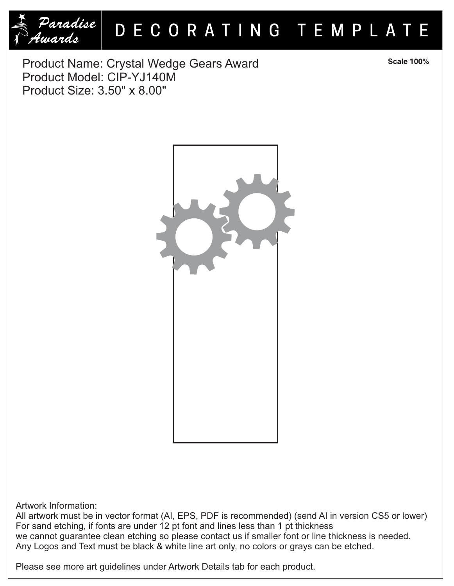

## DECORATING TEMPLATE

Product Name: Crystal Wedge Gears Award Product Model: CIP-YJ140M Product Size: 3.50" x 8.00"

Artwork Information:

All artwork must be in vector format (AI, EPS, PDF is recommended) (send AI in version CS5 or lower) For sand etching, if fonts are under 12 pt font and lines less than 1 pt thickness we cannot guarantee clean etching so please contact us if smaller font or line thickness is needed. Any Logos and Text must be black & white line art only, no colors or grays can be etched.

Please see more art guidelines under Artwork Details tab for each product.

**Scale 100%**